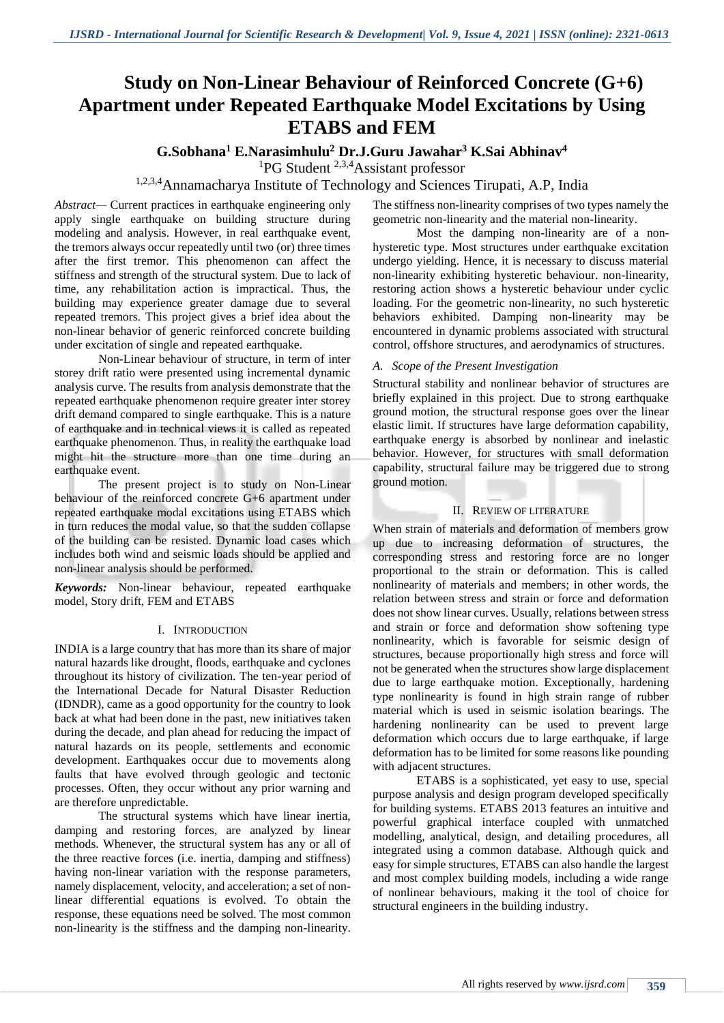# **Study on Non-Linear Behaviour of Reinforced Concrete (G+6) Apartment under Repeated Earthquake Model Excitations by Using ETABS and FEM**

## **G.Sobhana<sup>1</sup> E.Narasimhulu<sup>2</sup> Dr.J.Guru Jawahar<sup>3</sup> K.Sai Abhinav<sup>4</sup>**

<sup>1</sup>PG Student <sup>2,3,4</sup>Assistant professor

1,2,3,4Annamacharya Institute of Technology and Sciences Tirupati, A.P, India

*Abstract—* Current practices in earthquake engineering only apply single earthquake on building structure during modeling and analysis. However, in real earthquake event, the tremors always occur repeatedly until two (or) three times after the first tremor. This phenomenon can affect the stiffness and strength of the structural system. Due to lack of time, any rehabilitation action is impractical. Thus, the building may experience greater damage due to several repeated tremors. This project gives a brief idea about the non-linear behavior of generic reinforced concrete building under excitation of single and repeated earthquake.

Non-Linear behaviour of structure, in term of inter storey drift ratio were presented using incremental dynamic analysis curve. The results from analysis demonstrate that the repeated earthquake phenomenon require greater inter storey drift demand compared to single earthquake. This is a nature of earthquake and in technical views it is called as repeated earthquake phenomenon. Thus, in reality the earthquake load might hit the structure more than one time during an earthquake event.

The present project is to study on Non-Linear behaviour of the reinforced concrete G+6 apartment under repeated earthquake modal excitations using ETABS which in turn reduces the modal value, so that the sudden collapse of the building can be resisted. Dynamic load cases which includes both wind and seismic loads should be applied and non-linear analysis should be performed.

*Keywords:* Non-linear behaviour, repeated earthquake model, Story drift, FEM and ETABS

#### I. INTRODUCTION

INDIA is a large country that has more than its share of major natural hazards like drought, floods, earthquake and cyclones throughout its history of civilization. The ten-year period of the International Decade for Natural Disaster Reduction (IDNDR), came as a good opportunity for the country to look back at what had been done in the past, new initiatives taken during the decade, and plan ahead for reducing the impact of natural hazards on its people, settlements and economic development. Earthquakes occur due to movements along faults that have evolved through geologic and tectonic processes. Often, they occur without any prior warning and are therefore unpredictable.

The structural systems which have linear inertia, damping and restoring forces, are analyzed by linear methods. Whenever, the structural system has any or all of the three reactive forces (i.e. inertia, damping and stiffness) having non-linear variation with the response parameters, namely displacement, velocity, and acceleration; a set of nonlinear differential equations is evolved. To obtain the response, these equations need be solved. The most common non-linearity is the stiffness and the damping non-linearity.

The stiffness non-linearity comprises of two types namely the geometric non-linearity and the material non-linearity.

Most the damping non-linearity are of a nonhysteretic type. Most structures under earthquake excitation undergo yielding. Hence, it is necessary to discuss material non-linearity exhibiting hysteretic behaviour. non-linearity, restoring action shows a hysteretic behaviour under cyclic loading. For the geometric non-linearity, no such hysteretic behaviors exhibited. Damping non-linearity may be encountered in dynamic problems associated with structural control, offshore structures, and aerodynamics of structures.

#### *A. Scope of the Present Investigation*

Structural stability and nonlinear behavior of structures are briefly explained in this project. Due to strong earthquake ground motion, the structural response goes over the linear elastic limit. If structures have large deformation capability, earthquake energy is absorbed by nonlinear and inelastic behavior. However, for structures with small deformation capability, structural failure may be triggered due to strong ground motion.

#### II. REVIEW OF LITERATURE

When strain of materials and deformation of members grow up due to increasing deformation of structures, the corresponding stress and restoring force are no longer proportional to the strain or deformation. This is called nonlinearity of materials and members; in other words, the relation between stress and strain or force and deformation does not show linear curves. Usually, relations between stress and strain or force and deformation show softening type nonlinearity, which is favorable for seismic design of structures, because proportionally high stress and force will not be generated when the structures show large displacement due to large earthquake motion. Exceptionally, hardening type nonlinearity is found in high strain range of rubber material which is used in seismic isolation bearings. The hardening nonlinearity can be used to prevent large deformation which occurs due to large earthquake, if large deformation has to be limited for some reasons like pounding with adjacent structures.

ETABS is a sophisticated, yet easy to use, special purpose analysis and design program developed specifically for building systems. ETABS 2013 features an intuitive and powerful graphical interface coupled with unmatched modelling, analytical, design, and detailing procedures, all integrated using a common database. Although quick and easy for simple structures, ETABS can also handle the largest and most complex building models, including a wide range of nonlinear behaviours, making it the tool of choice for structural engineers in the building industry.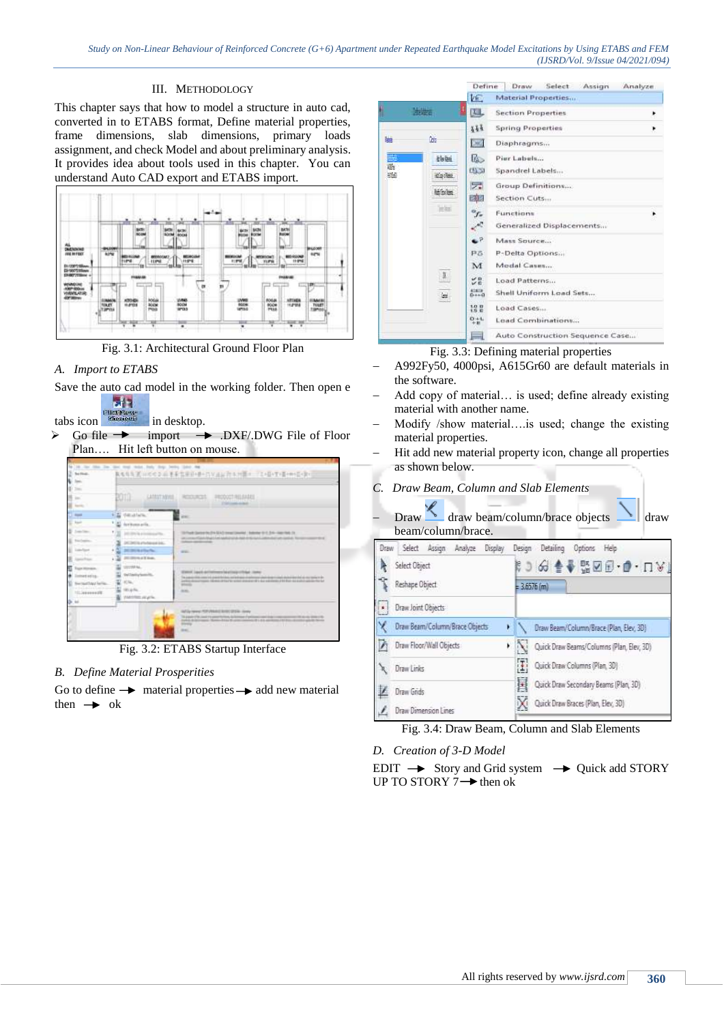## III. METHODOLOGY

This chapter says that how to model a structure in auto cad, converted in to ETABS format, Define material properties, frame dimensions, slab dimensions, primary loads assignment, and check Model and about preliminary analysis. It provides idea about tools used in this chapter. You can understand Auto CAD export and ETABS import.



Fig. 3.1: Architectural Ground Floor Plan

## *A. Import to ETABS*

Save the auto cad model in the working folder. Then open e



 $\triangleright$  Go file  $\rightarrow$  import  $\rightarrow$  DXF/.DWG File of Floor Plan…. Hit left button on mouse.

| u<br>$\sim$<br>to the                                                         | bom<br>LATEST MEYER                                      | RECOCETABLISADE<br><b>ROOMS</b><br><b>Calculate Artist</b>                                                                                           |
|-------------------------------------------------------------------------------|----------------------------------------------------------|------------------------------------------------------------------------------------------------------------------------------------------------------|
| $-$                                                                           | and the control of the con-<br>Edi desalare."            | <b>WALL</b>                                                                                                                                          |
| <b>Said</b>                                                                   | Archangella.                                             |                                                                                                                                                      |
| Total Color                                                                   | 1.103<br><b>STATISTICS</b>                               | 19-Twitt (patents 214 MAC) times (swelled - baltimer 6-1, 214 - Alert Reft, 21                                                                       |
|                                                                               | DE DEUX al Vichieres de la di-                           | process than that is a subscript and interest convenient to be a<br><b>CARDIOL AND CONTRACTOR</b>                                                    |
|                                                                               | $\frac{1}{2}$<br><b>DESIGNATION</b>                      | <b>HEAT</b>                                                                                                                                          |
|                                                                               | 2012/05/06 at X from:                                    |                                                                                                                                                      |
| <b>Frank Milmages</b><br>metatis.<br><b>German Tray Le Tie</b><br>TO MAIN AVE | presented Aug.<br>activity/amilia<br><b>NATION AVAIL</b> | <b>CONTRACTOR</b><br>Statut Ligati dell'inferere lai allaigi chiliga Listas<br>See the special manager presented throughout<br><b>STATE</b><br>and a |

Fig. 3.2: ETABS Startup Interface

## *B. Define Material Prosperities*

Go to define  $\rightarrow$  material properties  $\rightarrow$  add new material then  $\rightarrow$  ok

|                   | Select Assign<br>Define<br>Draw            | Analyze |
|-------------------|--------------------------------------------|---------|
|                   | VE.<br>Material Properties                 |         |
| 连要                | 理。<br><b>Section Properties</b>            |         |
|                   | 第第3<br><b>Spring Properties</b>            |         |
| <b>Corp</b><br>匮  | Days"<br>Diaphragms                        |         |
| <b>Electric</b>   | us.<br>Pier Labels                         |         |
| 露<br>羅<br>Carles. | 05.51<br>Spandrel Labels                   |         |
| Midsley           | 5.<br>Group Definitions                    |         |
|                   | 团团<br>Section Cuts                         |         |
| $=56$             | $\sigma_{f_x}$<br>Functions                |         |
|                   | $\mathcal{L}$<br>Generalized Displacements |         |
|                   | £P.<br>Mass Source                         |         |
|                   | PS<br>P-Delta Options                      |         |
|                   | Modal Cases<br>M                           |         |
| $\rm{J}$          | <b>SB</b><br>Load Patterns                 |         |
| is.               | <b>Killing</b><br>Shell Uniform Load Sets  |         |
|                   | Load Cases                                 |         |
|                   | $0 + L$<br>Load Combinations               |         |
|                   | Auto Construction Sequence Case<br>≕       |         |

Fig. 3.3: Defining material properties

- A992Fy50, 4000psi, A615Gr60 are default materials in the software.
- Add copy of material… is used; define already existing material with another name.
- Modify /show material….is used; change the existing material properties.
- Hit add new material property icon, change all properties as shown below.
- *C. Draw Beam, Column and Slab Elements*
- Draw **draw beam/column/brace objects** draw beam/column/brace.

|   | Draw Select Assign Analyze Display | Design Detailing Options Help              |  |  |  |  |  |
|---|------------------------------------|--------------------------------------------|--|--|--|--|--|
|   | Select Object                      | ∦) H ∲∲₩⊠®∙Ø∙⊓V!                           |  |  |  |  |  |
|   | Reshape Object                     | $= 3.6576$ (m)                             |  |  |  |  |  |
| × | Draw Joint Objects                 |                                            |  |  |  |  |  |
|   | Draw Beam/Column/Brace Objects     | Draw Beam/Column/Brace (Plan, Elev, 30)    |  |  |  |  |  |
|   | Draw Floor/Wall Objects            | Quick Draw Beams/Columns (Plan, Elev, 3D)  |  |  |  |  |  |
|   | Draw Links                         | Ŧ<br>Quick Draw Columns (Plan, 30)         |  |  |  |  |  |
|   | Draw Grids                         | 国<br>Quick Draw Secondary Beams (Plan, 3D) |  |  |  |  |  |
|   | Draw Dimension Lines               | Quick Draw Braces (Plan, Elev, 3D)         |  |  |  |  |  |

Fig. 3.4: Draw Beam, Column and Slab Elements

*D. Creation of 3-D Model*

 $EDIT \rightarrow$  Story and Grid system  $\rightarrow$  Quick add STORY UP TO STORY  $7 \rightarrow$  then ok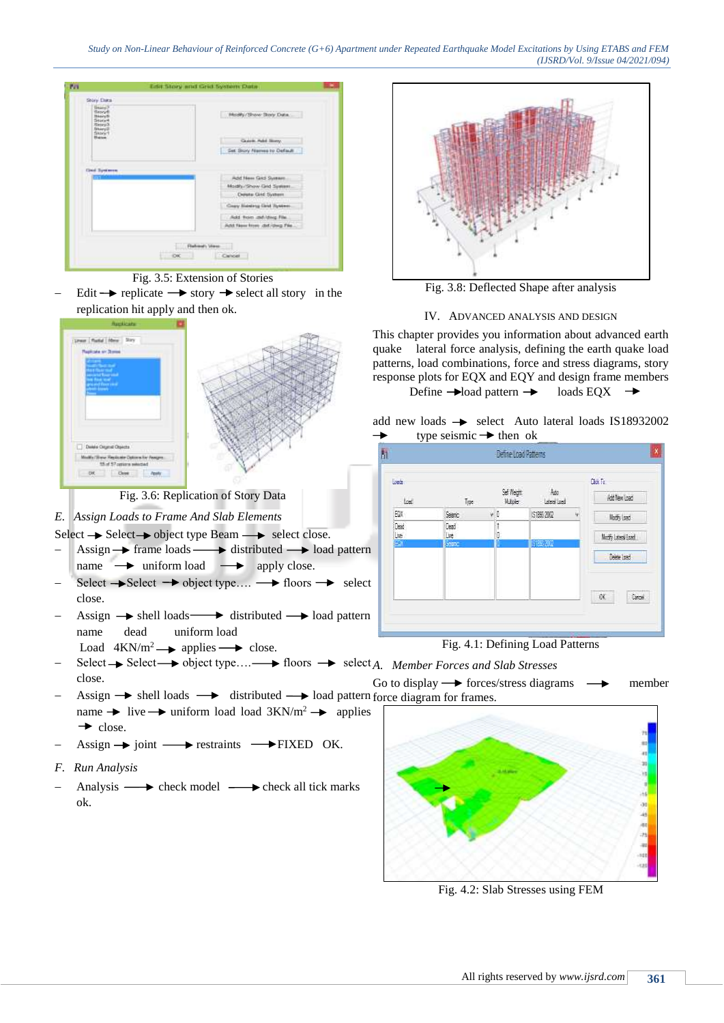

Fig. 3.5: Extension of Stories

Edit  $\rightarrow$  replicate  $\rightarrow$  story  $\rightarrow$  select all story in the replication hit apply and then ok.



Fig. 3.6: Replication of Story Data

## *E. Assign Loads to Frame And Slab Elements*

Select  $\rightarrow$  Select  $\rightarrow$  object type Beam  $\rightarrow$  select close.

- Assign  $\rightarrow$  frame loads  $\rightarrow$  distributed  $\rightarrow$  load pattern name  $\rightarrow$  uniform load  $\rightarrow$  apply close.
- Select  $\rightarrow$  Select  $\rightarrow$  object type....  $\rightarrow$  floors  $\rightarrow$  select close.
- Assign  $\rightarrow$  shell loads  $\rightarrow$  distributed  $\rightarrow$  load pattern name dead uniform load
	- Load  $4KN/m^2 \rightarrow$  applies  $\rightarrow$  close.
- *A.* Select → Select → object type…. → floors → select A. Member Forces and Slab Stresses close. Go to display  $\rightarrow$  forces/stress diagrams  $\rightarrow$  member
- Assign  $\rightarrow$  shell loads  $\rightarrow$  distributed  $\rightarrow$  load pattern force diagram for frames. name  $\rightarrow$  live  $\rightarrow$  uniform load load 3KN/m<sup>2</sup>  $\rightarrow$  applies  $\rightarrow$  close.
- Assign  $\rightarrow$  joint  $\rightarrow$  restraints  $\rightarrow$  FIXED OK.
- *F. Run Analysis*
- Analysis  $\longrightarrow$  check model  $\longrightarrow$  check all tick marks ok.



Fig. 3.8: Deflected Shape after analysis

#### IV. ADVANCED ANALYSIS AND DESIGN

This chapter provides you information about advanced earth quake lateral force analysis, defining the earth quake load patterns, load combinations, force and stress diagrams, story response plots for EQX and EQY and design frame members

Define  $\rightarrow$  loads EQX  $\rightarrow$ 

|   | add new loads $\rightarrow$ select Auto lateral loads IS18932002 |  |  |  |
|---|------------------------------------------------------------------|--|--|--|
| ∸ | type seismic $\rightarrow$ then ok                               |  |  |  |

| <b>Last</b>         |                     |                        |                  | <b>Dix In</b>    |
|---------------------|---------------------|------------------------|------------------|------------------|
| Lost                | Tree                | Sell Weight<br>Hubble: | Ago<br>Lawa Lead | Add New Load     |
| EQUI                | Searc               | vD                     | (\$1853,2002)    | Nothy Load       |
| Dead<br><b>Live</b> | Dead<br><b>Live</b> | ŧ<br>IQ                |                  | Modiy Lawra Load |
| EX 1                | Search              |                        | 6183.2002        |                  |
|                     |                     |                        |                  | Delete Load      |
|                     |                     |                        |                  | 区<br>Carol       |





Fig. 4.2: Slab Stresses using FEM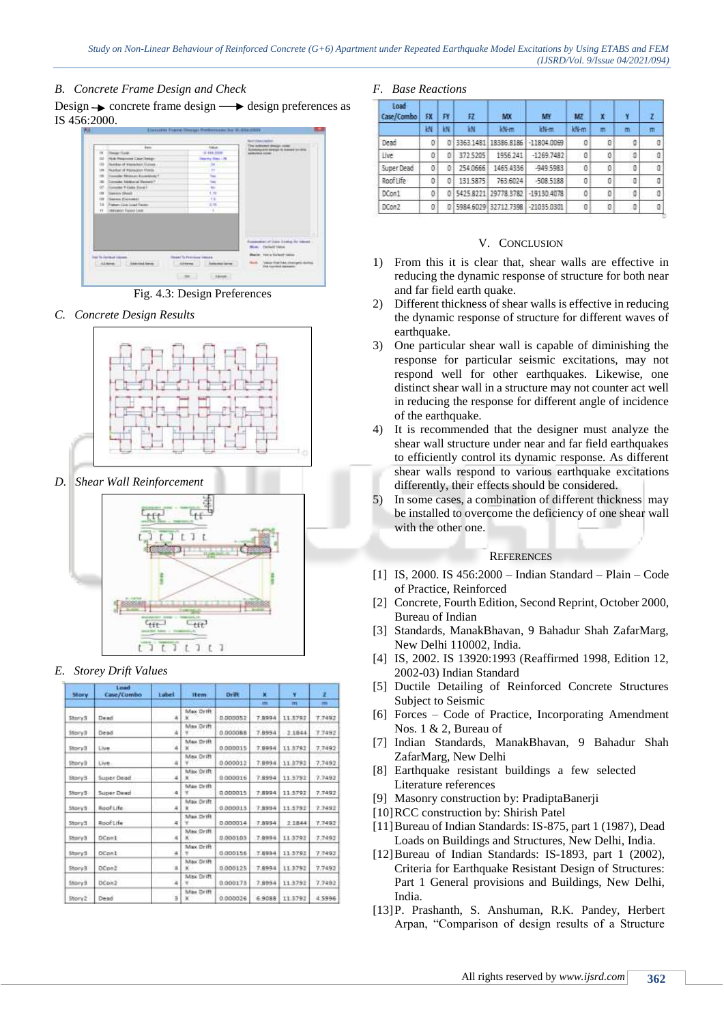## *B. Concrete Frame Design and Check*

Design  $\rightarrow$  concrete frame design  $\rightarrow$  design preferences as IS 456:2000.



Fig. 4.3: Design Preferences

*C. Concrete Design Results*



*D. Shear Wall Reinforcement*



## *E. Storey Drift Values*

| <b>Story</b> | Load<br>Case/Combo | Lubel | item.            | Drift    | k      | ¥       | ż      |
|--------------|--------------------|-------|------------------|----------|--------|---------|--------|
|              |                    |       |                  |          | m      | m       | m      |
| ShoryS       | Dead               | a     | Max Drift        | 0.000052 | 7.8994 | 11.5792 | 7.7492 |
| StoryB       | Dead               | 4     | Max Drift        | 0.000088 | 7,8994 | 71844   | 77492  |
| StorySt      | <b>Live</b>        | 4     | Max Drift        | 0.000015 | 7.9994 | 11.3792 | 7.7492 |
| Storvill     | Live.              | a     | Max Orift        | 0.000012 | 7.8994 | 11.3792 | 7.7492 |
| EunoR2       | Super Dead         | 4     | Max Orift        | 0.000016 | 7.8994 | 11:3792 | 7.7492 |
| Story3-      | Super Dead         | 4     | Max Orift        | 0.000015 | 7.5994 | 11:5792 | 7.7492 |
| Story3       | Roof Life          | 4     | Max Orift<br>×   | 0.000015 | 7,8994 | 11.3792 | 7.7492 |
| Story3       | Roof Life          | 4     | Max Drift        | 0.000014 | 7.8994 | 2.1844  | 7.7492 |
| Storv3       | DConl              | ×     | Max Orift<br>KO. | 0.000105 | 7.8994 | 11.3792 | 77492  |
| Eytofd       | DCon1              | a,    | Max Drift        | 0.000156 | 7.8994 | 113792  | 7.7492 |
| Story3       | DCon2              | a     | Max Drift<br>X.  | 8.000125 | 7,8994 | 11.3792 | 7.7493 |
| Story 9      | DCon2              | л     | Max Drift        | 0.000179 | 7,8994 | 11,3792 | 7.7492 |
| Story2       | Dead               | á     | Max Drift<br>XV. | 0:000026 | 6.9088 | 11.3792 | 4.5996 |

## *F. Base Reactions*

| Load<br>Case/Combo | EX | FY | 72       | MX                     | MY            | MZ   | X | ٠Y |   |
|--------------------|----|----|----------|------------------------|---------------|------|---|----|---|
|                    | 枛  | iΝ | kN       | kN-m                   | kN-m          | kN-m | m | m  | m |
| Dead               | ø  | ō  |          | 3363 1481 18386 8186   | $-118040069$  | G    | o | 0  | c |
| Live               | ٥  | ٥  | 372 5205 | 1956 241               | $-1269.7482$  | 0    | ö | O  | o |
| Super Dead         | ō  | ο  | 254,0666 | 1465 4336              | -949.5983     | Û    | 0 | a  | o |
| Roof Life          | 0  | ٥  | 131.5875 | 763 6024               | $-5085188$    | 0    | 0 | 0  | O |
| DCon1              | ø  |    |          | 0 5425 8221 29778 3782 | $-191304078$  | G    | ö | 0  | O |
| DCon2              |    | o  |          | 5984.6029 32712.7398   | $-21035.0301$ | 0    | o | -0 | o |

#### V. CONCLUSION

- 1) From this it is clear that, shear walls are effective in reducing the dynamic response of structure for both near and far field earth quake.
- 2) Different thickness of shear walls is effective in reducing the dynamic response of structure for different waves of earthquake.
- 3) One particular shear wall is capable of diminishing the response for particular seismic excitations, may not respond well for other earthquakes. Likewise, one distinct shear wall in a structure may not counter act well in reducing the response for different angle of incidence of the earthquake.
- 4) It is recommended that the designer must analyze the shear wall structure under near and far field earthquakes to efficiently control its dynamic response. As different shear walls respond to various earthquake excitations differently, their effects should be considered.
- 5) In some cases, a combination of different thickness may be installed to overcome the deficiency of one shear wall with the other one.

#### **REFERENCES**

- [1] IS, 2000. IS 456:2000 Indian Standard Plain Code of Practice, Reinforced
- [2] Concrete, Fourth Edition, Second Reprint, October 2000, Bureau of Indian
- [3] Standards, ManakBhavan, 9 Bahadur Shah ZafarMarg, New Delhi 110002, India.
- [4] IS, 2002. IS 13920:1993 (Reaffirmed 1998, Edition 12, 2002-03) Indian Standard
- [5] Ductile Detailing of Reinforced Concrete Structures Subject to Seismic
- [6] Forces Code of Practice, Incorporating Amendment Nos. 1 & 2, Bureau of
- [7] Indian Standards, ManakBhavan, 9 Bahadur Shah ZafarMarg, New Delhi
- [8] Earthquake resistant buildings a few selected Literature references
- [9] Masonry construction by: PradiptaBanerji
- [10]RCC construction by: Shirish Patel
- [11]Bureau of Indian Standards: IS-875, part 1 (1987), Dead Loads on Buildings and Structures, New Delhi, India.
- [12] Bureau of Indian Standards: IS-1893, part 1 (2002), Criteria for Earthquake Resistant Design of Structures: Part 1 General provisions and Buildings, New Delhi, India.
- [13]P. Prashanth, S. Anshuman, R.K. Pandey, Herbert Arpan, "Comparison of design results of a Structure